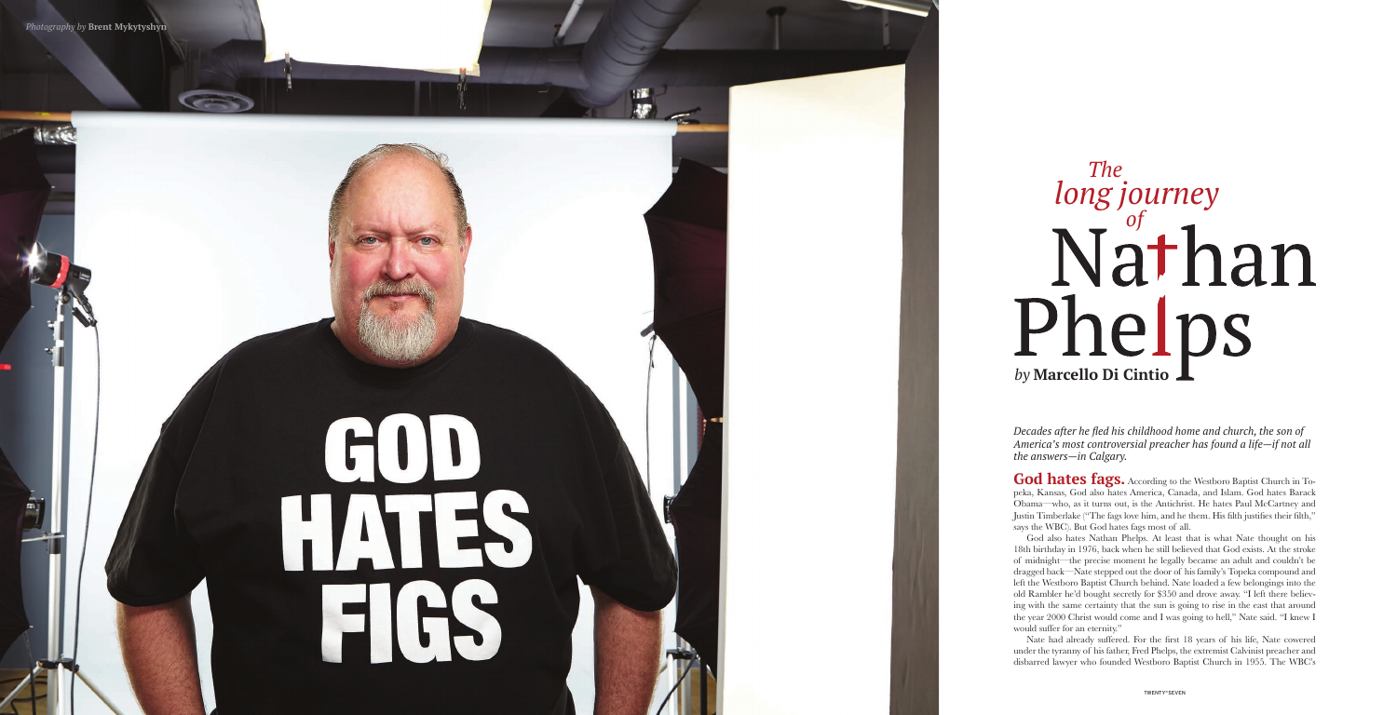God hates fags. According to the Westboro Baptist Church in Topeka, Kansas, God also hates America, Canada, and Islam. God hates Barack Obama—who, as it turns out, is the Antichrist. He hates Paul McCartney and Justin Timberlake ("The fags love him, and he them. His filth justifies their filth," says the WBC). But God hates fags most of all.

God also hates Nathan Phelps. At least that is what Nate thought on his 18th birthday in 1976, back when he still believed that God exists. At the stroke of midnight—the precise moment he legally became an adult and couldn't be dragged back—Nate stepped out the door of his family's Topeka compound and left the Westboro Baptist Church behind. Nate loaded a few belongings into the old Rambler he'd bought secretly for \$350 and drove away. "I left there believ ing with the same certainty that the sun is going to rise in the east that around the year 2000 Christ would come and I was going to hell," Nate said. "I knew I would suffer for an eternity."

Nate had already suffered. For the first 18 years of his life, Nate cowered under the tyranny of his father, Fred Phelps, the extremist Calvinist preacher and disbarred lawyer who founded Westboro Baptist Church in 1955. The WBC's

*Decades after he fled his childhood home and church, the son of America's most controversial preacher has found a life—if not all the answers—in Calgary.*



## *The long journeyof* Phelps *by* **Marcello Di Cintio**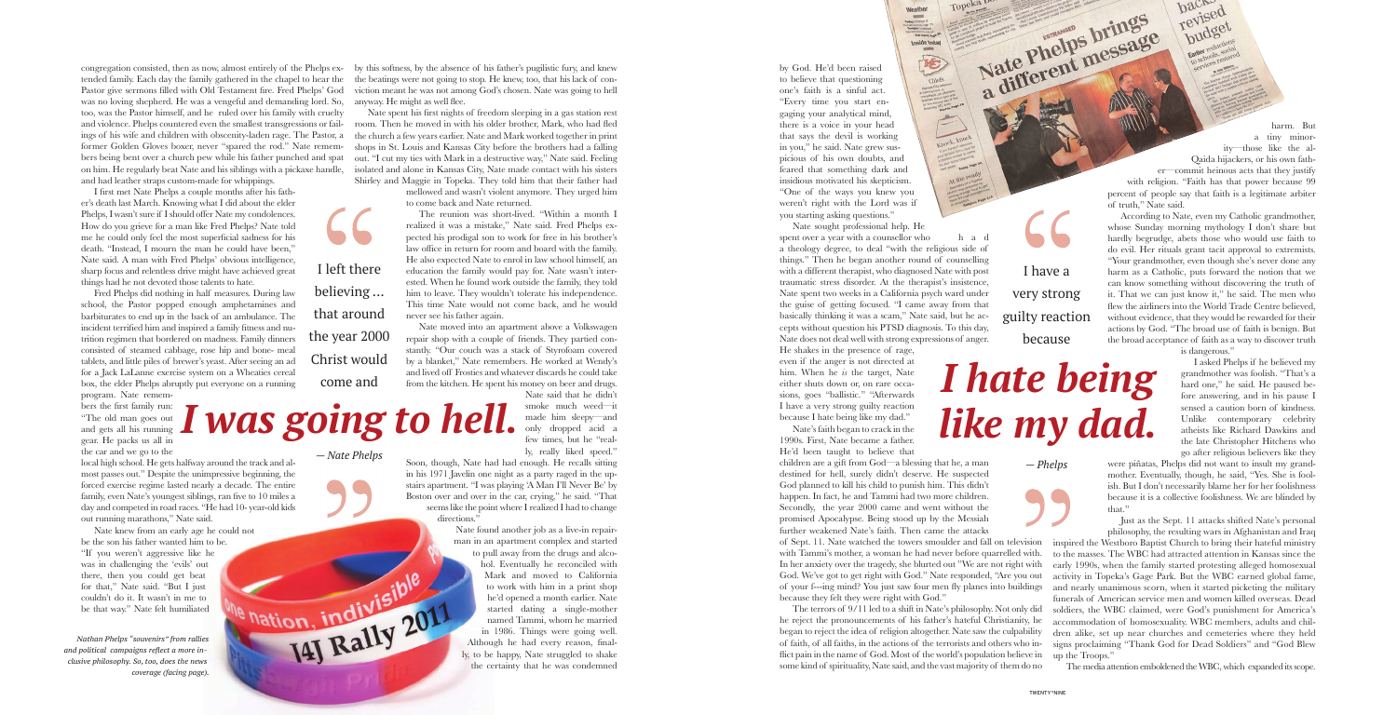Nate sought professional help. He spent over a year with a counsellor who h a d

by God. He'd been raised to believe that questioning one's faith is a sinful act. "Every time you start engaging your analytical mind, there is a voice in your head that says the devil is working in you," he said. Nate grew suspicious of his own doubts, and feared that something dark and insidious motivated his skepticism. "One of the ways you knew you weren't right with the Lord was if you starting asking questions."

a theology degree, to deal "with the religious side of things." Then he began another round of counselling with a different therapist, who diagnosed Nate with post traumatic stress disorder. At the therapist's insistence, Nate spent two weeks in a California psych ward under the guise of getting focused. "I came away from that basically thinking it was a scam," Nate said, but he accepts without question his PTSD diagnosis. To this day, Nate does not deal well with strong expressions of anger.

The Company Change of The Test of The Test of The Test of The Test of The Test of Test of Test of Test of Test of Test of Test of Test of Test of Test of Test of Test of Test of Test of Test of Test of Test of Test of Test

画

He shakes in the presence of rage, even if the anger is not directed at him. When he *is* the target, Nate either shuts down or, on rare occasions, goes "ballistic." "Afterwards I have a very strong guilty reaction because I hate being like my dad." Nate's faith began to crack in the 1990s. First, Nate became a father. He'd been taught to believe that

children are a gift from God—a blessing that he, a man destined for hell, surely didn't deserve. He suspected God planned to kill his child to punish him. This didn't happen. In fact, he and Tammi had two more children. Secondly, the year 2000 came and went without the promised Apocalypse. Being stood up by the Messiah further weakened Nate's faith. Then came the attacks

with Tammi's mother, a woman he had never before quarrelled with. In her anxiety over the tragedy, she blurted out "We are not right with God. We've got to get right with God." Nate responded, "Are you out because they felt they were right with God."

The terrors of 9/11 led to a shift in Nate's philosophy. Not only did he reject the pronouncements of his father's hateful Christianity, he began to reject the idea of religion altogether. Nate saw the culpability of faith, of all faiths, in the actions of the terrorists and others who inflict pain in the name of God. Most of the world's population believe in some kind of spirituality, Nate said, and the vast majority of them do no

harm. But a tiny minority—those like the al-Qaida hijackers, or his own father—commit heinous acts that they justify with religion. "Faith has that power because 99 percent of people say that faith is a legitimate arbiter

of truth," Nate said. According to Nate, even my Catholic grandmother, whose Sunday morning mythology I don't share but hardly begrudge, abets those who would use faith to do evil. Her rituals grant tacit approval to extremists. "Your grandmother, even though she's never done any harm as a Catholic, puts forward the notion that we can know something without discovering the truth of it. That we can just know it," he said. The men who flew the airliners into the World Trade Centre believed, without evidence, that they would be rewarded for their actions by God. "The broad use of faith is benign. But the broad acceptance of faith as a way to discover truth

of Sept. 11. Nate watched the towers smoulder and fall on television inspired the Westboro Baptist Church to bring their hateful ministry of your f---ing mind? You just saw four men fly planes into buildings and nearly unanimous scorn, when it started picketing the military to the masses. The WBC had attracted attention in Kansas since the early 1990s, when the family started protesting alleged homosexual activity in Topeka's Gage Park. But the WBC earned global fame, funerals of American service men and women killed overseas. Dead soldiers, the WBC claimed, were God's punishment for America's accommodation of homosexuality. WBC members, adults and children alike, set up near churches and cemeteries where they held signs proclaiming "Thank God for Dead Soldiers" and "God Blew up the Troops."

is dangerous."

I asked Phelps if he believed my grandmother was foolish. "That's a hard one," he said. He paused before answering, and in his pause I sensed a caution born of kindness. Unlike contemporary celebrity atheists like Richard Dawkins and the late Christopher Hitchens who go after religious believers like they

were piñatas, Phelps did not want to insult my grandmother. Eventually, though, he said, "Yes. She is foolish. But I don't necessarily blame her for her foolishness because it is a collective foolishness. We are blinded by that."

Just as the Sept. 11 attacks shifted Nate's personal philosophy, the resulting wars in Afghanistan and Iraq

Soon, though, Nate had had enough. He recalls sitting in his 1971 Javelin one night as a party raged in the upstairs apartment. "I was playing 'A Man I'll Never Be' by Boston over and over in the car, crying," he said. "That seems like the point where I realized I had to change directions."

The media attention emboldened the WBC, which expanded its scope.

congregation consisted, then as now, almost entirely of the Phelps ex-by this softness, by the absence of his father's pugilistic fury, and knew tended family. Each day the family gathered in the chapel to hear the Pastor give sermons filled with Old Testament fire. Fred Phelps' God was no loving shepherd. He was a vengeful and demanding lord. So, too, was the Pastor himself, and he ruled over his family with cruelty and violence. Phelps countered even the smallest transgressions or failformer Golden Gloves boxer, never "spared the rod." Nate remembers being bent over a church pew while his father punched and spat on him. He regularly beat Nate and his siblings with a pickaxe handle, and had leather straps custom-made for whippings.

I first met Nate Phelps a couple months after his father's death last March. Knowing what I did about the elder Phelps, I wasn't sure if I should offer Nate my condolences. How do you grieve for a man like Fred Phelps? Nate told me he could only feel the most superficial sadness for his death. "Instead, I mourn the man he could have been," Nate said. A man with Fred Phelps' obvious intelligence, sharp focus and relentless drive might have achieved great things had he not devoted those talents to hate.

Fred Phelps did nothing in half measures. During law school, the Pastor popped enough amphetamines and barbiturates to end up in the back of an ambulance. The incident terrified him and inspired a family fitness and nutrition regimen that bordered on madness. Family dinners consisted of steamed cabbage, rose hip and bone- meal tablets, and little piles of brewer's yeast. After seeing an ad for a Jack LaLanne exercise system on a Wheaties cereal box, the elder Phelps abruptly put everyone on a running

program. Nate remembers the first family run: "The old man goes out and gets all his running gear. He packs us all in the car and we go to the

ings of his wife and children with obscenity-laden rage. The Pastor, a the church a few years earlier. Nate and Mark worked together in print Nate spent his first nights of freedom sleeping in a gas station rest room. Then he moved in with his older brother, Mark, who had fled shops in St. Louis and Kansas City before the brothers had a falling out. "I cut my ties with Mark in a destructive way," Nate said. Feeling isolated and alone in Kansas City, Nate made contact with his sisters Shirley and Maggie in Topeka. They told him that their father had

local high school. He gets halfway around the track and almost passes out." Despite the unimpressive beginning, the forced exercise regime lasted nearly a decade. The entire family, even Nate's youngest siblings, ran five to 10 miles a day and competed in road races. "He had 10- year-old kids out running marathons," Nate said.

Nate knew from an early age he could not be the son his father wanted him to be. "If you weren't aggressive like he was in challenging the 'evils' out there, then you could get beat for that," Nate said. "But I just couldn't do it. It wasn't in me to be that way." Nate felt humiliated

the beatings were not going to stop. He knew, too, that his lack of conviction meant he was not among God's chosen. Nate was going to hell anyway. He might as well flee.

> mellowed and wasn't violent anymore. They urged him to come back and Nate returned.

> The reunion was short-lived. "Within a month I realized it was a mistake," Nate said. Fred Phelps expected his prodigal son to work for free in his brother's law office in return for room and board with the family. He also expected Nate to enrol in law school himself, an education the family would pay for. Nate wasn't interested. When he found work outside the family, they told him to leave. They wouldn't tolerate his independence. This time Nate would not come back, and he would never see his father again.

> Nate moved into an apartment above a Volkswagen repair shop with a couple of friends. They partied constantly. "Our couch was a stack of Styrofoam covered by a blanket," Nate remembers. He worked at Wendy's and lived off Frosties and whatever discards he could take from the kitchen. He spent his money on beer and drugs.

> > Nate said that he didn't smoke much weed—it made him sleepy—and only dropped acid a few times, but he "really, really liked speed."

Nate found another job as a live-in repairman in an apartment complex and started to pull away from the drugs and alco-

hol. Eventually he reconciled with Mark and moved to California to work with him in a print shop he'd opened a month earlier. Nate started dating a single-mother named Tammi, whom he married in 1986. Things were going well. We haltion, incluy is a single-mother than the desired at month earlier. Nate of the depended a month earlier. Nate started dating a single-mother named Tammi, whom he married in 1986. Things were going well. ly, to be happy, Nate struggled to shake the certainty that he was condemned

I left there

believing ...

that around

the year 2000

Christ would

come and

pudget

revised hack

*— Nate Phelps*

*I was going to hell.*

*I hate being like my dad.*

I have a very strong guilty reaction because

Nate Phelps brings

*— Phelps*

*Nathan Phelps "souvenirs" from rallies and political campaigns reflect a more inclusive philosophy. So, too, does the news coverage (facing page).*